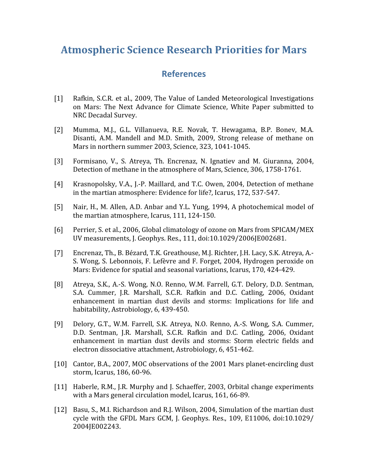## **Atmospheric
Science
Research
Priorities
for
Mars**

## **References**

- [1] Rafkin, S.C.R. et al., 2009, The Value of Landed Meteorological Investigations on
 Mars:
 The
 Next
 Advance
 for
 Climate
 Science,
 White
 Paper
 submitted
 to NRC
Decadal
Survey.
- [2] Mumma, M.J., G.L. Villanueva, R.E. Novak, T. Hewagama, B.P. Bonev, M.A. Disanti, A.M. Mandell and M.D. Smith, 2009, Strong release of methane on Mars
in
northern
summer
2003,
Science,
323,
1041‐1045.
- [3] Formisano, V., S. Atreya, Th. Encrenaz, N. Ignatiev and M. Giuranna, 2004, Detection
of
methane
in
the
atmosphere
of
Mars,
Science,
306,
1758‐1761.
- [4] Krasnopolsky, V.A., J.-P. Maillard, and T.C. Owen, 2004, Detection of methane in
the
martian
atmosphere:
Evidence
for
life?,
Icarus,
172,
537‐547.
- [5] Nair, H., M. Allen, A.D. Anbar and Y.L. Yung, 1994, A photochemical model of the
martian
atmosphere,
Icarus,
111,
124‐150.
- [6] Perrier, S. et al., 2006, Global climatology of ozone on Mars from SPICAM/MEX UV
measurements,
J.
Geophys.
Res.,
111,
doi:10.1029/2006JE002681.
- [7] Encrenaz, Th., B. Bézard, T.K. Greathouse, M.J. Richter, J.H. Lacy, S.K. Atreya, A.-S. Wong, S. Lebonnois, F. Lefèvre and F. Forget, 2004, Hydrogen peroxide on Mars: Evidence for spatial and seasonal variations, Icarus, 170, 424-429.
- [8] Atreya, S.K., A.-S. Wong, N.O. Renno, W.M. Farrell, G.T. Delory, D.D. Sentman, S.A. Cummer, J.R. Marshall, S.C.R. Rafkin and D.C. Catling, 2006, Oxidant enhancement in martian dust devils and storms: Implications for life and habitability,
Astrobiology,
6,
439‐450.
- [9] Delory, G.T., W.M. Farrell, S.K. Atreya, N.O. Renno, A.-S. Wong, S.A. Cummer, D.D.
 Sentman,
 J.R.
 Marshall,
 S.C.R.
 Rafkin
 and
 D.C.
 Catling,
 2006,
 Oxidant enhancement
 in
 martian
 dust
 devils
 and
 storms:
 Storm
 electric
 fields
 and electron
dissociative
attachment,
Astrobiology,
6,
451‐462.
- [10] Cantor, B.A., 2007, MOC observations of the 2001 Mars planet-encircling dust storm,
Icarus,
186,
60‐96.
- [11] Haberle, R.M., J.R. Murphy and J. Schaeffer, 2003, Orbital change experiments with
a
Mars
general
circulation
model,
Icarus,
161,
66‐89.
- [12] Basu, S., M.I. Richardson and R.J. Wilson, 2004, Simulation of the martian dust cycle with the GFDL Mars GCM, J. Geophys. Res., 109, E11006, doi:10.1029/ 2004JE002243.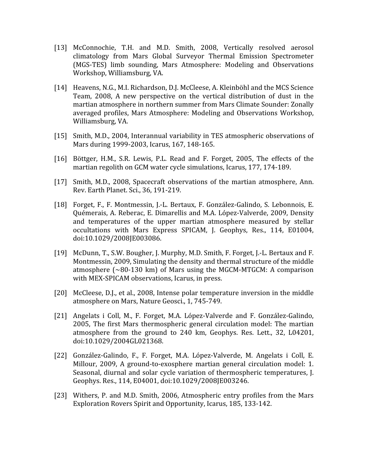- [13] McConnochie, T.H. and M.D. Smith, 2008, Vertically resolved aerosol climatology
 from
 Mars
 Global
 Surveyor
 Thermal
 Emission
 Spectrometer (MGS‐TES)
 limb
 sounding,
 Mars
 Atmosphere:
 Modeling
 and
 Observations Workshop,
Williamsburg,
VA.
- [14] Heavens, N.G., M.I. Richardson, D.J. McCleese, A. Kleinböhl and the MCS Science Team,
 2008,
 A
 new
 perspective
 on
 the
 vertical
 distribution
 of
 dust
 in
 the martian
atmosphere
in
northern
summer
from
Mars
Climate
Sounder:
Zonally averaged
 profiles,
Mars
Atmosphere:
Modeling
 and
Observations
Workshop, Williamsburg,
VA.
- [15] Smith, M.D., 2004, Interannual variability in TES atmospheric observations of Mars
during
1999‐2003,
Icarus,
167,
148‐165.
- [16] Böttger, H.M., S.R. Lewis, P.L. Read and F. Forget, 2005, The effects of the martian
regolith
on
GCM
water
cycle
simulations,
Icarus,
177,
174‐189.
- [17] Smith, M.D., 2008, Spacecraft observations of the martian atmosphere, Ann. Rev.
Earth
Planet.
Sci.,
36,
191‐219.
- [18] Forget, F., F. Montmessin, J.-L. Bertaux, F. González-Galindo, S. Lebonnois, E. Quémerais,
A.
Reberac,
E.
Dimarellis
and
M.A.
López‐Valverde,
2009,
Density and
 temperatures
 of
 the
 upper
 martian
 atmosphere
 measured
 by
 stellar occultations with Mars Express SPICAM, J. Geophys, Res., 114, E01004, doi:10.1029/2008JE003086.
- [19] McDunn, T., S.W. Bougher, J. Murphy, M.D. Smith, F. Forget, J.-L. Bertaux and F. Montmessin, 2009, Simulating the density and thermal structure of the middle atmosphere  $\sim 80-130$  km) of Mars using the MGCM-MTGCM: A comparison with
MEX‐SPICAM
observations,
Icarus,
in
press.
- [20] McCleese, D.J., et al., 2008, Intense polar temperature inversion in the middle atmosphere
on
Mars,
Nature
Geosci.,
1,
745‐749.
- [21] Angelats i Coll, M., F. Forget, M.A. López-Valverde and F. González-Galindo, 2005,
 The
 first
 Mars
 thermospheric
 general
 circulation
 model:
 The
 martian atmosphere
 from
 the
 ground
 to
 240
 km,
 Geophys.
 Res.
 Lett.,
 32,
 L04201, doi:10.1029/2004GL021368.
- [22] González-Galindo, F., F. Forget, M.A. López-Valverde, M. Angelats i Coll, E. Millour, 2009, A ground-to-exosphere martian general circulation model: 1. Seasonal,
diurnal
and
solar
cycle
variation
of
 thermospheric
 temperatures,
 J. Geophys.
Res.,
114,
E04001,
doi:10.1029/2008JE003246.
- [23] Withers, P. and M.D. Smith, 2006, Atmospheric entry profiles from the Mars Exploration
Rovers
Spirit
and
Opportunity,
Icarus,
185,
133‐142.